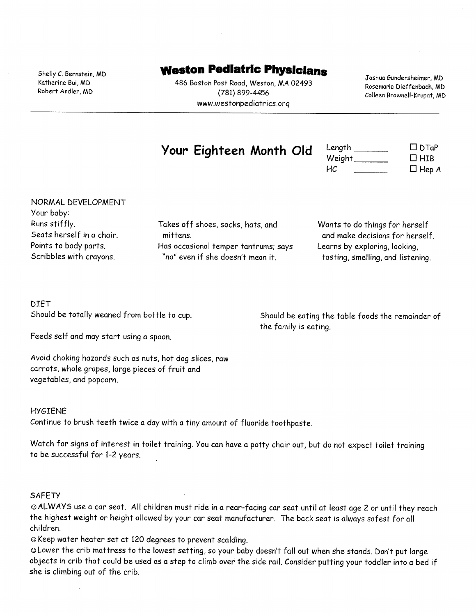Shelly C. Bernstein, MD Katherine Bui, MD Robert Andler, MD

# **Weston Pediatric Physicians**

486 Boston Post Road, Weston, MA 02493 (781) 899-4456 www.westonpediatrics.org

Joshua Gundersheimer, MD Rosemarie Dieffenbach, MD Colleen Brownell-Krupat, MD

# Your Eighteen Month Old

| Length  | $\Box$ $DTaP$ |
|---------|---------------|
| Weight_ | $\Box$ HIB    |
| HC.     | $\Box$ Hep A  |

NORMAL DEVELOPMENT Your baby: Runs stiffly. Seats herself in a chair. Points to body parts. Scribbles with crayons.

Takes off shoes, socks, hats, and mittens. Has occasional temper tantrums; says "no" even if she doesn't mean it.

Wants to do things for herself and make decisions for herself. Learns by exploring, looking, tasting, smelling, and listening.

## **DIET** Should be totally weaned from bottle to cup.

Should be eating the table foods the remainder of the family is eating.

Feeds self and may start using a spoon.

Avoid choking hazards such as nuts, hot dog slices, raw carrots, whole grapes, large pieces of fruit and vegetables, and popcorn.

#### **HYGIENE**

Continue to brush teeth twice a day with a tiny amount of fluoride toothpaste.

Watch for signs of interest in toilet training. You can have a potty chair out, but do not expect toilet training to be successful for 1-2 years.

#### **SAFETY**

@ALWAYS use a car seat. All children must ride in a rear-facing car seat until at least age 2 or until they reach the highest weight or height allowed by your car seat manufacturer. The back seat is always safest for all children

© Keep water heater set at 120 degrees to prevent scalding.

@Lower the crib mattress to the lowest setting, so your baby doesn't fall out when she stands. Don't put large objects in crib that could be used as a step to climb over the side rail. Consider putting your toddler into a bed if she is climbing out of the crib.